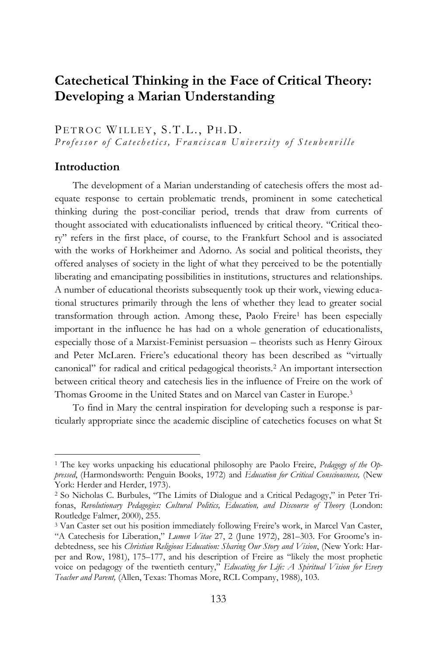## **Catechetical Thinking in the Face of Critical Theory: Developing a Marian Understanding**

PETROC WILLEY, S.T.L., PH.D. *Professor of Catechetics, Franciscan University of Steubenville* 

## **Introduction**

 $\overline{a}$ 

The development of a Marian understanding of catechesis offers the most adequate response to certain problematic trends, prominent in some catechetical thinking during the post-conciliar period, trends that draw from currents of thought associated with educationalists influenced by critical theory. "Critical theory" refers in the first place, of course, to the Frankfurt School and is associated with the works of Horkheimer and Adorno. As social and political theorists, they offered analyses of society in the light of what they perceived to be the potentially liberating and emancipating possibilities in institutions, structures and relationships. A number of educational theorists subsequently took up their work, viewing educational structures primarily through the lens of whether they lead to greater social transformation through action. Among these, Paolo Freire<sup>1</sup> has been especially important in the influence he has had on a whole generation of educationalists, especially those of a Marxist-Feminist persuasion – theorists such as Henry Giroux and Peter McLaren. Friere's educational theory has been described as "virtually canonical" for radical and critical pedagogical theorists.<sup>2</sup> An important intersection between critical theory and catechesis lies in the influence of Freire on the work of Thomas Groome in the United States and on Marcel van Caster in Europe.<sup>3</sup>

To find in Mary the central inspiration for developing such a response is particularly appropriate since the academic discipline of catechetics focuses on what St

<sup>1</sup> The key works unpacking his educational philosophy are Paolo Freire, *Pedagogy of the Oppressed*, (Harmondsworth: Penguin Books, 1972) and *Education for Critical Consciousness,* (New York: Herder and Herder, 1973).

<sup>2</sup> So Nicholas C. Burbules, "The Limits of Dialogue and a Critical Pedagogy," in Peter Trifonas, *Revolutionary Pedagogies: Cultural Politics, Education, and Discourse of Theory* (London: Routledge Falmer, 2000), 255.

<sup>3</sup> Van Caster set out his position immediately following Freire's work, in Marcel Van Caster, "A Catechesis for Liberation," *Lumen Vitae* 27, 2 (June 1972), 281–303. For Groome's indebtedness, see his *Christian Religious Education: Sharing Our Story and Vision*, (New York: Harper and Row, 1981), 175–177, and his description of Freire as "likely the most prophetic voice on pedagogy of the twentieth century," *Educating for Life: A Spiritual Vision for Every Teacher and Parent,* (Allen, Texas: Thomas More, RCL Company, 1988), 103.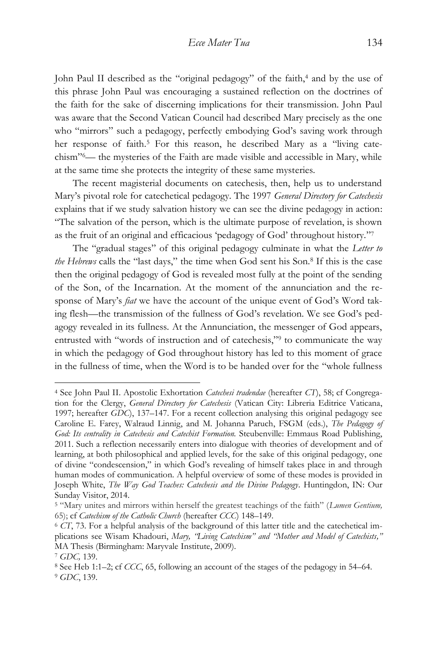John Paul II described as the "original pedagogy" of the faith,<sup>4</sup> and by the use of this phrase John Paul was encouraging a sustained reflection on the doctrines of the faith for the sake of discerning implications for their transmission. John Paul was aware that the Second Vatican Council had described Mary precisely as the one who "mirrors" such a pedagogy, perfectly embodying God's saving work through her response of faith.<sup>5</sup> For this reason, he described Mary as a "living catechism" <sup>6</sup>— the mysteries of the Faith are made visible and accessible in Mary, while at the same time she protects the integrity of these same mysteries.

The recent magisterial documents on catechesis, then, help us to understand Mary's pivotal role for catechetical pedagogy. The 1997 *General Directory for Catechesis* explains that if we study salvation history we can see the divine pedagogy in action: "The salvation of the person, which is the ultimate purpose of revelation, is shown as the fruit of an original and efficacious 'pedagogy of God' throughout history." 7

The "gradual stages" of this original pedagogy culminate in what the *Letter to the Hebrews* calls the "last days," the time when God sent his Son.<sup>8</sup> If this is the case then the original pedagogy of God is revealed most fully at the point of the sending of the Son, of the Incarnation. At the moment of the annunciation and the response of Mary's *fiat* we have the account of the unique event of God's Word taking flesh—the transmission of the fullness of God's revelation. We see God's pedagogy revealed in its fullness. At the Annunciation, the messenger of God appears, entrusted with "words of instruction and of catechesis,"<sup>9</sup> to communicate the way in which the pedagogy of God throughout history has led to this moment of grace in the fullness of time, when the Word is to be handed over for the "whole fullness

<sup>4</sup> See John Paul II. Apostolic Exhortation *Catechesi tradendae* (hereafter *CT*), 58; cf Congregation for the Clergy, *General Directory for Catechesis* (Vatican City: Libreria Editrice Vaticana, 1997; hereafter *GDC*), 137–147. For a recent collection analysing this original pedagogy see Caroline E. Farey, Walraud Linnig, and M. Johanna Paruch, FSGM (eds.), *The Pedagogy of God: Its centrality in Catechesis and Catechist Formation.* Steubenville: Emmaus Road Publishing, 2011. Such a reflection necessarily enters into dialogue with theories of development and of learning, at both philosophical and applied levels, for the sake of this original pedagogy, one of divine "condescension," in which God's revealing of himself takes place in and through human modes of communication. A helpful overview of some of these modes is provided in Joseph White, *The Way God Teaches: Catechesis and the Divine Pedagogy*. Huntingdon, IN: Our Sunday Visitor, 2014.

<sup>5</sup> "Mary unites and mirrors within herself the greatest teachings of the faith" (*Lumen Gentium,* 65); cf *Catechism of the Catholic Church* (hereafter *CCC*) 148–149.

<sup>6</sup> *CT*, 73. For a helpful analysis of the background of this latter title and the catechetical implications see Wisam Khadouri, *Mary, "Living Catechism" and "Mother and Model of Catechists,"* MA Thesis (Birmingham: Maryvale Institute, 2009).

<sup>7</sup> *GDC,* 139.

<sup>8</sup> See Heb 1:1–2; cf *CCC*, 65, following an account of the stages of the pedagogy in 54–64. <sup>9</sup> *GDC*, 139.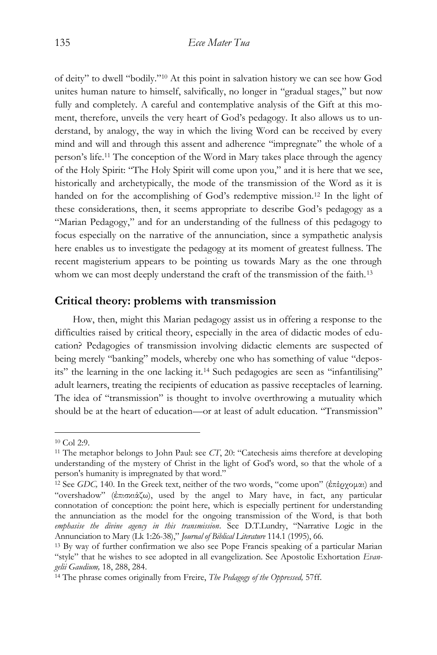of deity" to dwell "bodily."<sup>10</sup> At this point in salvation history we can see how God unites human nature to himself, salvifically, no longer in "gradual stages," but now fully and completely. A careful and contemplative analysis of the Gift at this moment, therefore, unveils the very heart of God's pedagogy. It also allows us to understand, by analogy, the way in which the living Word can be received by every mind and will and through this assent and adherence "impregnate" the whole of a person's life.<sup>11</sup> The conception of the Word in Mary takes place through the agency of the Holy Spirit: "The Holy Spirit will come upon you," and it is here that we see, historically and archetypically, the mode of the transmission of the Word as it is handed on for the accomplishing of God's redemptive mission.<sup>12</sup> In the light of these considerations, then, it seems appropriate to describe God's pedagogy as a "Marian Pedagogy," and for an understanding of the fullness of this pedagogy to focus especially on the narrative of the annunciation, since a sympathetic analysis here enables us to investigate the pedagogy at its moment of greatest fullness. The recent magisterium appears to be pointing us towards Mary as the one through whom we can most deeply understand the craft of the transmission of the faith.<sup>13</sup>

## **Critical theory: problems with transmission**

How, then, might this Marian pedagogy assist us in offering a response to the difficulties raised by critical theory, especially in the area of didactic modes of education? Pedagogies of transmission involving didactic elements are suspected of being merely "banking" models, whereby one who has something of value "deposits" the learning in the one lacking it.<sup>14</sup> Such pedagogies are seen as "infantilising" adult learners, treating the recipients of education as passive receptacles of learning. The idea of "transmission" is thought to involve overthrowing a mutuality which should be at the heart of education—or at least of adult education. "Transmission"

<sup>10</sup> Col 2:9.

<sup>11</sup> The metaphor belongs to John Paul: see *CT*, 20: "Catechesis aims therefore at developing understanding of the mystery of Christ in the light of God's word, so that the whole of a person's humanity is impregnated by that word."

<sup>12</sup> See *GDC,* 140. In the Greek text, neither of the two words, "come upon" (ἐπέρχομαι) and "overshadow" (ἐπισκιάζω), used by the angel to Mary have, in fact, any particular connotation of conception: the point here, which is especially pertinent for understanding the annunciation as the model for the ongoing transmission of the Word, is that both *emphasise the divine agency in this transmission*. See D.T.Lundry, "Narrative Logic in the Annunciation to Mary (Lk 1:26-38)," *Journal of Biblical Literature* 114.1 (1995), 66.

<sup>13</sup> By way of further confirmation we also see Pope Francis speaking of a particular Marian "style" that he wishes to see adopted in all evangelization. See Apostolic Exhortation *Evangelii Gaudium,* 18, 288, 284.

<sup>14</sup> The phrase comes originally from Freire, *The Pedagogy of the Oppressed,* 57ff.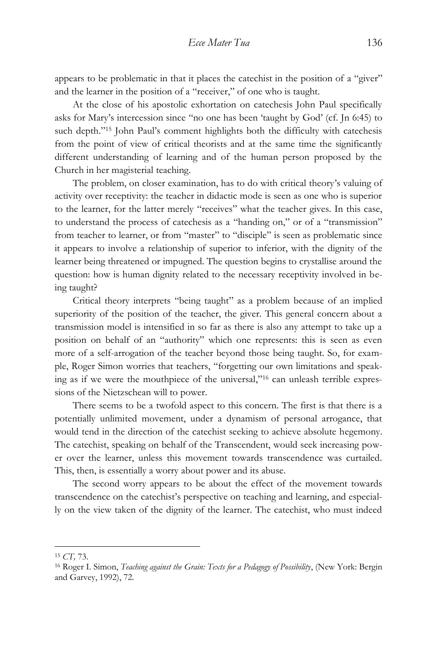appears to be problematic in that it places the catechist in the position of a "giver" and the learner in the position of a "receiver," of one who is taught.

At the close of his apostolic exhortation on catechesis John Paul specifically asks for Mary's intercession since "no one has been 'taught by God' (cf. Jn 6:45) to such depth."<sup>15</sup> John Paul's comment highlights both the difficulty with catechesis from the point of view of critical theorists and at the same time the significantly different understanding of learning and of the human person proposed by the Church in her magisterial teaching.

The problem, on closer examination, has to do with critical theory's valuing of activity over receptivity: the teacher in didactic mode is seen as one who is superior to the learner, for the latter merely "receives" what the teacher gives. In this case, to understand the process of catechesis as a "handing on," or of a "transmission" from teacher to learner, or from "master" to "disciple" is seen as problematic since it appears to involve a relationship of superior to inferior, with the dignity of the learner being threatened or impugned. The question begins to crystallise around the question: how is human dignity related to the necessary receptivity involved in being taught?

Critical theory interprets "being taught" as a problem because of an implied superiority of the position of the teacher, the giver. This general concern about a transmission model is intensified in so far as there is also any attempt to take up a position on behalf of an "authority" which one represents: this is seen as even more of a self-arrogation of the teacher beyond those being taught. So, for example, Roger Simon worries that teachers, "forgetting our own limitations and speaking as if we were the mouthpiece of the universal,"<sup>16</sup> can unleash terrible expressions of the Nietzschean will to power.

There seems to be a twofold aspect to this concern. The first is that there is a potentially unlimited movement, under a dynamism of personal arrogance, that would tend in the direction of the catechist seeking to achieve absolute hegemony. The catechist, speaking on behalf of the Transcendent, would seek increasing power over the learner, unless this movement towards transcendence was curtailed. This, then, is essentially a worry about power and its abuse.

The second worry appears to be about the effect of the movement towards transcendence on the catechist's perspective on teaching and learning, and especially on the view taken of the dignity of the learner. The catechist, who must indeed

<sup>15</sup> *CT,* 73.

<sup>16</sup> Roger I. Simon, *Teaching against the Grain: Texts for a Pedagogy of Possibility*, (New York: Bergin and Garvey, 1992), 72.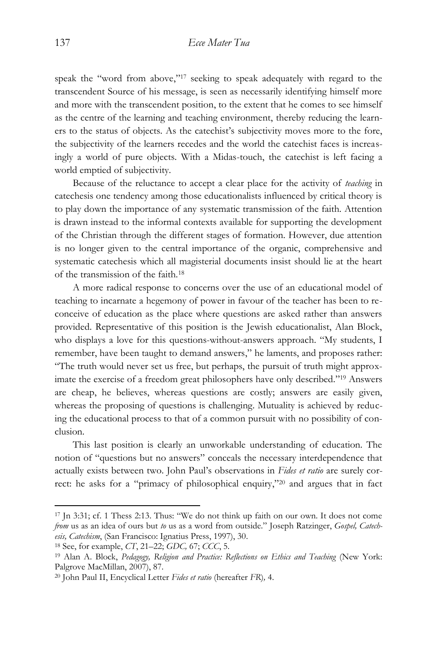speak the "word from above,"<sup>17</sup> seeking to speak adequately with regard to the transcendent Source of his message, is seen as necessarily identifying himself more and more with the transcendent position, to the extent that he comes to see himself as the centre of the learning and teaching environment, thereby reducing the learners to the status of objects. As the catechist's subjectivity moves more to the fore, the subjectivity of the learners recedes and the world the catechist faces is increasingly a world of pure objects. With a Midas-touch, the catechist is left facing a world emptied of subjectivity.

Because of the reluctance to accept a clear place for the activity of *teaching* in catechesis one tendency among those educationalists influenced by critical theory is to play down the importance of any systematic transmission of the faith. Attention is drawn instead to the informal contexts available for supporting the development of the Christian through the different stages of formation. However, due attention is no longer given to the central importance of the organic, comprehensive and systematic catechesis which all magisterial documents insist should lie at the heart of the transmission of the faith.<sup>18</sup>

A more radical response to concerns over the use of an educational model of teaching to incarnate a hegemony of power in favour of the teacher has been to reconceive of education as the place where questions are asked rather than answers provided. Representative of this position is the Jewish educationalist, Alan Block, who displays a love for this questions-without-answers approach. "My students, I remember, have been taught to demand answers," he laments, and proposes rather: "The truth would never set us free, but perhaps, the pursuit of truth might approximate the exercise of a freedom great philosophers have only described." <sup>19</sup> Answers are cheap, he believes, whereas questions are costly; answers are easily given, whereas the proposing of questions is challenging. Mutuality is achieved by reducing the educational process to that of a common pursuit with no possibility of conclusion.

This last position is clearly an unworkable understanding of education. The notion of "questions but no answers" conceals the necessary interdependence that actually exists between two. John Paul's observations in *Fides et ratio* are surely correct: he asks for a "primacy of philosophical enquiry,"<sup>20</sup> and argues that in fact

<sup>17</sup> Jn 3:31; cf. 1 Thess 2:13. Thus: "We do not think up faith on our own. It does not come *from* us as an idea of ours but *to* us as a word from outside." Joseph Ratzinger, *Gospel, Catechesis, Catechism*, (San Francisco: Ignatius Press, 1997), 30.

<sup>18</sup> See, for example, *CT*, 21–22; *GDC,* 67; *CCC*, 5.

<sup>19</sup> Alan A. Block, *Pedagogy, Religion and Practice: Reflections on Ethics and Teaching* (New York: Palgrove MacMillan, 2007), 87.

<sup>20</sup> John Paul II, Encyclical Letter *Fides et ratio* (hereafter *FR*)*,* 4.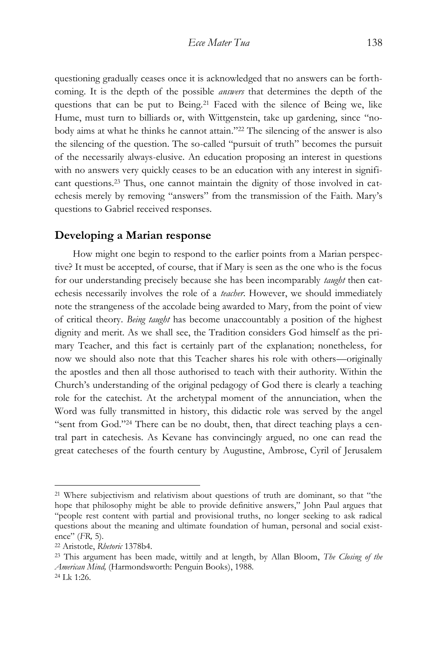questioning gradually ceases once it is acknowledged that no answers can be forthcoming. It is the depth of the possible *answers* that determines the depth of the questions that can be put to Being.<sup>21</sup> Faced with the silence of Being we, like Hume, must turn to billiards or, with Wittgenstein, take up gardening, since "nobody aims at what he thinks he cannot attain."<sup>22</sup> The silencing of the answer is also the silencing of the question. The so-called "pursuit of truth" becomes the pursuit of the necessarily always-elusive. An education proposing an interest in questions with no answers very quickly ceases to be an education with any interest in significant questions.<sup>23</sup> Thus, one cannot maintain the dignity of those involved in catechesis merely by removing "answers" from the transmission of the Faith. Mary's questions to Gabriel received responses.

## **Developing a Marian response**

How might one begin to respond to the earlier points from a Marian perspective? It must be accepted, of course, that if Mary is seen as the one who is the focus for our understanding precisely because she has been incomparably *taught* then catechesis necessarily involves the role of a *teacher*. However, we should immediately note the strangeness of the accolade being awarded to Mary, from the point of view of critical theory. *Being taught* has become unaccountably a position of the highest dignity and merit. As we shall see, the Tradition considers God himself as the primary Teacher, and this fact is certainly part of the explanation; nonetheless, for now we should also note that this Teacher shares his role with others—originally the apostles and then all those authorised to teach with their authority. Within the Church's understanding of the original pedagogy of God there is clearly a teaching role for the catechist. At the archetypal moment of the annunciation, when the Word was fully transmitted in history, this didactic role was served by the angel "sent from God."<sup>24</sup> There can be no doubt, then, that direct teaching plays a central part in catechesis. As Kevane has convincingly argued, no one can read the great catecheses of the fourth century by Augustine, Ambrose, Cyril of Jerusalem

<sup>21</sup> Where subjectivism and relativism about questions of truth are dominant, so that "the hope that philosophy might be able to provide definitive answers," John Paul argues that "people rest content with partial and provisional truths, no longer seeking to ask radical questions about the meaning and ultimate foundation of human, personal and social existence" (*FR,* 5).

<sup>22</sup> Aristotle, *Rhetoric* 1378b4.

<sup>23</sup> This argument has been made, wittily and at length, by Allan Bloom, *The Closing of the American Mind,* (Harmondsworth: Penguin Books), 1988. <sup>24</sup> Lk 1:26.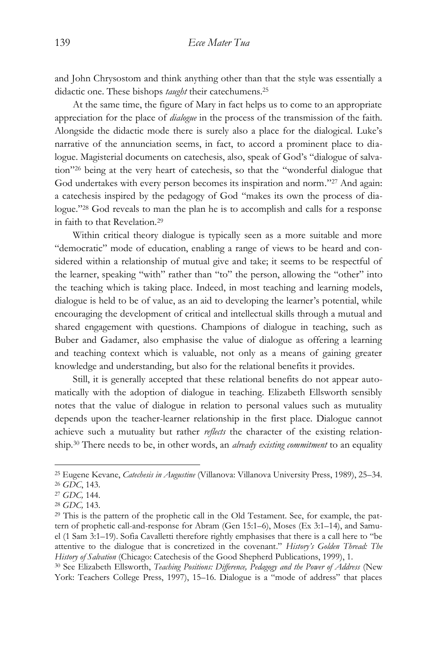and John Chrysostom and think anything other than that the style was essentially a didactic one. These bishops *taught* their catechumens.<sup>25</sup>

At the same time, the figure of Mary in fact helps us to come to an appropriate appreciation for the place of *dialogue* in the process of the transmission of the faith. Alongside the didactic mode there is surely also a place for the dialogical. Luke's narrative of the annunciation seems, in fact, to accord a prominent place to dialogue. Magisterial documents on catechesis, also, speak of God's "dialogue of salvation" <sup>26</sup> being at the very heart of catechesis, so that the "wonderful dialogue that God undertakes with every person becomes its inspiration and norm."<sup>27</sup> And again: a catechesis inspired by the pedagogy of God "makes its own the process of dialogue." <sup>28</sup> God reveals to man the plan he is to accomplish and calls for a response in faith to that Revelation.<sup>29</sup>

Within critical theory dialogue is typically seen as a more suitable and more "democratic" mode of education, enabling a range of views to be heard and considered within a relationship of mutual give and take; it seems to be respectful of the learner, speaking "with" rather than "to" the person, allowing the "other" into the teaching which is taking place. Indeed, in most teaching and learning models, dialogue is held to be of value, as an aid to developing the learner's potential, while encouraging the development of critical and intellectual skills through a mutual and shared engagement with questions. Champions of dialogue in teaching, such as Buber and Gadamer, also emphasise the value of dialogue as offering a learning and teaching context which is valuable, not only as a means of gaining greater knowledge and understanding, but also for the relational benefits it provides.

Still, it is generally accepted that these relational benefits do not appear automatically with the adoption of dialogue in teaching. Elizabeth Ellsworth sensibly notes that the value of dialogue in relation to personal values such as mutuality depends upon the teacher-learner relationship in the first place. Dialogue cannot achieve such a mutuality but rather *reflects* the character of the existing relationship.<sup>30</sup> There needs to be, in other words, an *already existing commitment* to an equality

 $\overline{a}$ 

<sup>30</sup> See Elizabeth Ellsworth, *Teaching Positions: Difference, Pedagogy and the Power of Address* (New York: Teachers College Press, 1997), 15–16. Dialogue is a "mode of address" that places

<sup>25</sup> Eugene Kevane, *Catechesis in Augustine* (Villanova: Villanova University Press, 1989), 25–34.

<sup>26</sup> *GDC*, 143.

<sup>27</sup> *GDC,* 144.

<sup>28</sup> *GDC,* 143.

<sup>29</sup> This is the pattern of the prophetic call in the Old Testament. See, for example, the pattern of prophetic call-and-response for Abram (Gen 15:1–6), Moses (Ex 3:1–14), and Samuel (1 Sam 3:1–19). Sofia Cavalletti therefore rightly emphasises that there is a call here to "be attentive to the dialogue that is concretized in the covenant." *History's Golden Thread: The History of Salvation* (Chicago: Catechesis of the Good Shepherd Publications, 1999), 1.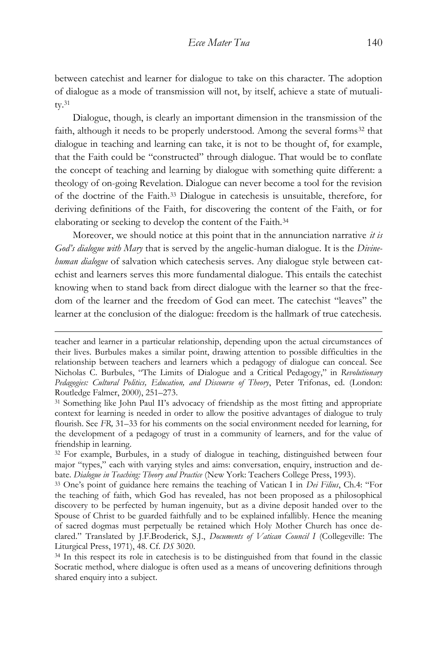between catechist and learner for dialogue to take on this character. The adoption of dialogue as a mode of transmission will not, by itself, achieve a state of mutuality.<sup>31</sup>

Dialogue, though, is clearly an important dimension in the transmission of the faith, although it needs to be properly understood. Among the several forms<sup>32</sup> that dialogue in teaching and learning can take, it is not to be thought of, for example, that the Faith could be "constructed" through dialogue. That would be to conflate the concept of teaching and learning by dialogue with something quite different: a theology of on-going Revelation. Dialogue can never become a tool for the revision of the doctrine of the Faith.<sup>33</sup> Dialogue in catechesis is unsuitable, therefore, for deriving definitions of the Faith, for discovering the content of the Faith, or for elaborating or seeking to develop the content of the Faith.<sup>34</sup>

Moreover, we should notice at this point that in the annunciation narrative *it is God's dialogue with Mary* that is served by the angelic-human dialogue. It is the *Divinehuman dialogue* of salvation which catechesis serves. Any dialogue style between catechist and learners serves this more fundamental dialogue. This entails the catechist knowing when to stand back from direct dialogue with the learner so that the freedom of the learner and the freedom of God can meet. The catechist "leaves" the learner at the conclusion of the dialogue: freedom is the hallmark of true catechesis.

teacher and learner in a particular relationship, depending upon the actual circumstances of their lives. Burbules makes a similar point, drawing attention to possible difficulties in the relationship between teachers and learners which a pedagogy of dialogue can conceal. See Nicholas C. Burbules, "The Limits of Dialogue and a Critical Pedagogy," in *Revolutionary Pedagogies: Cultural Politics, Education, and Discourse of Theory*, Peter Trifonas, ed. (London: Routledge Falmer, 2000), 251–273.

<sup>31</sup> Something like John Paul II's advocacy of friendship as the most fitting and appropriate context for learning is needed in order to allow the positive advantages of dialogue to truly flourish. See *FR,* 31–33 for his comments on the social environment needed for learning, for the development of a pedagogy of trust in a community of learners, and for the value of friendship in learning.

<sup>32</sup> For example, Burbules, in a study of dialogue in teaching, distinguished between four major "types," each with varying styles and aims: conversation, enquiry, instruction and debate. *Dialogue in Teaching: Theory and Practice* (New York: Teachers College Press, 1993).

<sup>33</sup> One's point of guidance here remains the teaching of Vatican I in *Dei Filius*, Ch.4: "For the teaching of faith, which God has revealed, has not been proposed as a philosophical discovery to be perfected by human ingenuity, but as a divine deposit handed over to the Spouse of Christ to be guarded faithfully and to be explained infallibly. Hence the meaning of sacred dogmas must perpetually be retained which Holy Mother Church has once declared." Translated by J.F.Broderick, S.J., *Documents of Vatican Council I* (Collegeville: The Liturgical Press, 1971), 48. Cf. *DS* 3020.

<sup>34</sup> In this respect its role in catechesis is to be distinguished from that found in the classic Socratic method, where dialogue is often used as a means of uncovering definitions through shared enquiry into a subject.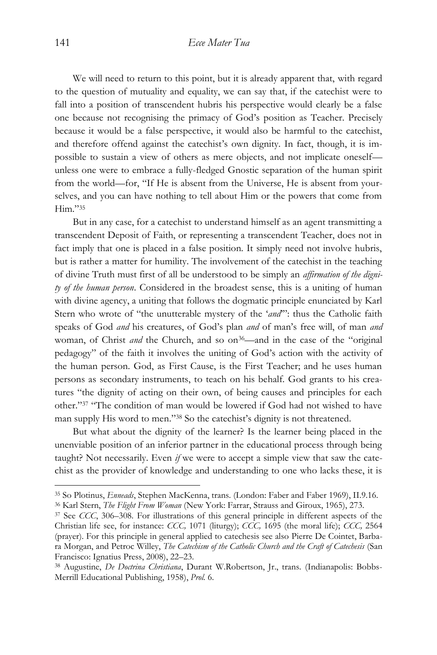We will need to return to this point, but it is already apparent that, with regard to the question of mutuality and equality, we can say that, if the catechist were to fall into a position of transcendent hubris his perspective would clearly be a false one because not recognising the primacy of God's position as Teacher. Precisely because it would be a false perspective, it would also be harmful to the catechist, and therefore offend against the catechist's own dignity. In fact, though, it is impossible to sustain a view of others as mere objects, and not implicate oneself unless one were to embrace a fully-fledged Gnostic separation of the human spirit from the world—for, "If He is absent from the Universe, He is absent from yourselves, and you can have nothing to tell about Him or the powers that come from Him."<sup>35</sup>

But in any case, for a catechist to understand himself as an agent transmitting a transcendent Deposit of Faith, or representing a transcendent Teacher, does not in fact imply that one is placed in a false position. It simply need not involve hubris, but is rather a matter for humility. The involvement of the catechist in the teaching of divine Truth must first of all be understood to be simply an *affirmation of the dignity of the human person*. Considered in the broadest sense, this is a uniting of human with divine agency, a uniting that follows the dogmatic principle enunciated by Karl Stern who wrote of "the unutterable mystery of the '*and*'": thus the Catholic faith speaks of God *and* his creatures, of God's plan *and* of man's free will, of man *and* woman, of Christ *and* the Church, and so on<sup>36</sup>—and in the case of the "original pedagogy" of the faith it involves the uniting of God's action with the activity of the human person. God, as First Cause, is the First Teacher; and he uses human persons as secondary instruments, to teach on his behalf. God grants to his creatures "the dignity of acting on their own, of being causes and principles for each other." <sup>37</sup> "The condition of man would be lowered if God had not wished to have man supply His word to men."<sup>38</sup> So the catechist's dignity is not threatened.

But what about the dignity of the learner? Is the learner being placed in the unenviable position of an inferior partner in the educational process through being taught? Not necessarily. Even *if* we were to accept a simple view that saw the catechist as the provider of knowledge and understanding to one who lacks these, it is

<sup>35</sup> So Plotinus, *Enneads*, Stephen MacKenna, trans. (London: Faber and Faber 1969), II.9.16.

<sup>36</sup> Karl Stern, *The Flight From Woman* (New York: Farrar, Strauss and Giroux, 1965), 273.

<sup>37</sup> See *CCC*, 306–308. For illustrations of this general principle in different aspects of the Christian life see, for instance: *CCC,* 1071 (liturgy); *CCC,* 1695 (the moral life); *CCC,* 2564 (prayer). For this principle in general applied to catechesis see also Pierre De Cointet, Barbara Morgan, and Petroc Willey, *The Catechism of the Catholic Church and the Craft of Catechesis* (San Francisco: Ignatius Press, 2008), 22–23.

<sup>38</sup> Augustine, *De Doctrina Christiana*, Durant W.Robertson, Jr., trans. (Indianapolis: Bobbs-Merrill Educational Publishing, 1958), *Prol.* 6.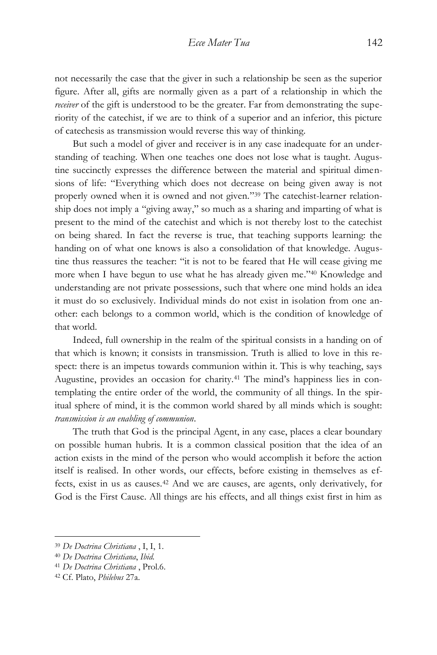not necessarily the case that the giver in such a relationship be seen as the superior figure. After all, gifts are normally given as a part of a relationship in which the *receiver* of the gift is understood to be the greater. Far from demonstrating the superiority of the catechist, if we are to think of a superior and an inferior, this picture of catechesis as transmission would reverse this way of thinking.

But such a model of giver and receiver is in any case inadequate for an understanding of teaching. When one teaches one does not lose what is taught. Augustine succinctly expresses the difference between the material and spiritual dimensions of life: "Everything which does not decrease on being given away is not properly owned when it is owned and not given." <sup>39</sup> The catechist-learner relationship does not imply a "giving away," so much as a sharing and imparting of what is present to the mind of the catechist and which is not thereby lost to the catechist on being shared. In fact the reverse is true, that teaching supports learning: the handing on of what one knows is also a consolidation of that knowledge. Augustine thus reassures the teacher: "it is not to be feared that He will cease giving me more when I have begun to use what he has already given me."<sup>40</sup> Knowledge and understanding are not private possessions, such that where one mind holds an idea it must do so exclusively. Individual minds do not exist in isolation from one another: each belongs to a common world, which is the condition of knowledge of that world.

Indeed, full ownership in the realm of the spiritual consists in a handing on of that which is known; it consists in transmission. Truth is allied to love in this respect: there is an impetus towards communion within it. This is why teaching, says Augustine, provides an occasion for charity.<sup>41</sup> The mind's happiness lies in contemplating the entire order of the world, the community of all things. In the spiritual sphere of mind, it is the common world shared by all minds which is sought: *transmission is an enabling of communion*.

The truth that God is the principal Agent, in any case, places a clear boundary on possible human hubris. It is a common classical position that the idea of an action exists in the mind of the person who would accomplish it before the action itself is realised. In other words, our effects, before existing in themselves as effects, exist in us as causes.<sup>42</sup> And we are causes, are agents, only derivatively, for God is the First Cause. All things are his effects, and all things exist first in him as

<sup>39</sup> *De Doctrina Christiana* , I, I, 1.

<sup>40</sup> *De Doctrina Christiana*, *Ibid.*

<sup>41</sup> *De Doctrina Christiana* , Prol.6.

<sup>42</sup> Cf. Plato, *Philebus* 27a.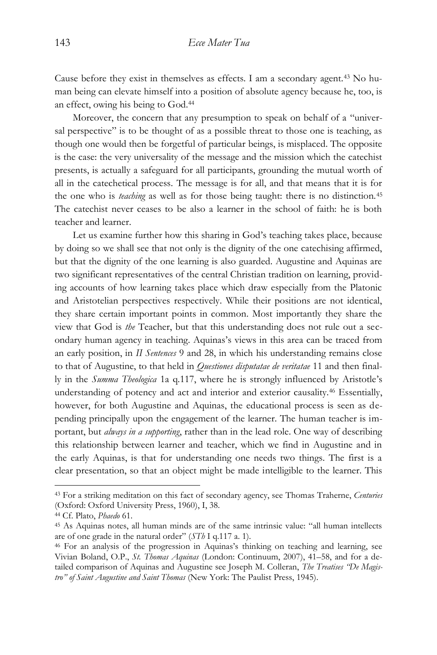Cause before they exist in themselves as effects. I am a secondary agent.<sup>43</sup> No human being can elevate himself into a position of absolute agency because he, too, is an effect, owing his being to God.<sup>44</sup>

Moreover, the concern that any presumption to speak on behalf of a "universal perspective" is to be thought of as a possible threat to those one is teaching, as though one would then be forgetful of particular beings, is misplaced. The opposite is the case: the very universality of the message and the mission which the catechist presents, is actually a safeguard for all participants, grounding the mutual worth of all in the catechetical process. The message is for all, and that means that it is for the one who is *teaching* as well as for those being taught: there is no distinction.<sup>45</sup> The catechist never ceases to be also a learner in the school of faith: he is both teacher and learner.

Let us examine further how this sharing in God's teaching takes place, because by doing so we shall see that not only is the dignity of the one catechising affirmed, but that the dignity of the one learning is also guarded. Augustine and Aquinas are two significant representatives of the central Christian tradition on learning, providing accounts of how learning takes place which draw especially from the Platonic and Aristotelian perspectives respectively. While their positions are not identical, they share certain important points in common. Most importantly they share the view that God is *the* Teacher, but that this understanding does not rule out a secondary human agency in teaching. Aquinas's views in this area can be traced from an early position, in *II Sentences* 9 and 28, in which his understanding remains close to that of Augustine, to that held in *Questiones disputatae de veritatae* 11 and then finally in the *Summa Theologica* 1a q.117, where he is strongly influenced by Aristotle's understanding of potency and act and interior and exterior causality.<sup>46</sup> Essentially, however, for both Augustine and Aquinas, the educational process is seen as depending principally upon the engagement of the learner. The human teacher is important, but *always in a supporting*, rather than in the lead role. One way of describing this relationship between learner and teacher, which we find in Augustine and in the early Aquinas, is that for understanding one needs two things. The first is a clear presentation, so that an object might be made intelligible to the learner. This

<sup>43</sup> For a striking meditation on this fact of secondary agency, see Thomas Traherne, *Centuries* (Oxford: Oxford University Press, 1960), I, 38.

<sup>44</sup> Cf. Plato, *Phaedo* 61.

<sup>45</sup> As Aquinas notes, all human minds are of the same intrinsic value: "all human intellects are of one grade in the natural order" (*STh* I q.117 a. 1).

<sup>46</sup> For an analysis of the progression in Aquinas's thinking on teaching and learning, see Vivian Boland, O.P., *St. Thomas Aquinas* (London: Continuum, 2007), 41–58, and for a detailed comparison of Aquinas and Augustine see Joseph M. Colleran, *The Treatises "De Magistro" of Saint Augustine and Saint Thomas* (New York: The Paulist Press, 1945).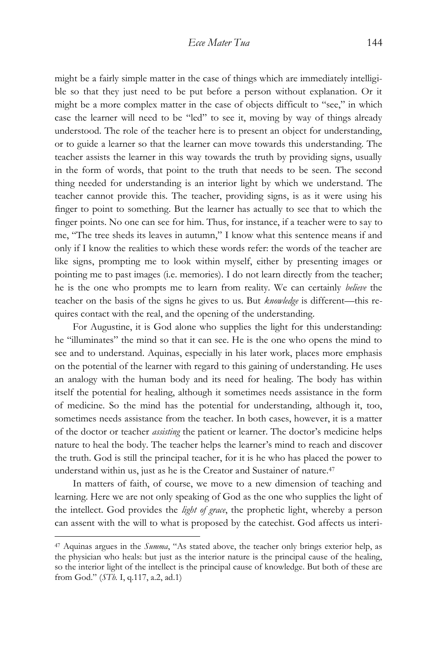might be a fairly simple matter in the case of things which are immediately intelligible so that they just need to be put before a person without explanation. Or it might be a more complex matter in the case of objects difficult to "see," in which case the learner will need to be "led" to see it, moving by way of things already understood. The role of the teacher here is to present an object for understanding, or to guide a learner so that the learner can move towards this understanding. The teacher assists the learner in this way towards the truth by providing signs, usually in the form of words, that point to the truth that needs to be seen. The second thing needed for understanding is an interior light by which we understand. The teacher cannot provide this. The teacher, providing signs, is as it were using his finger to point to something. But the learner has actually to see that to which the finger points. No one can see for him. Thus, for instance, if a teacher were to say to me, "The tree sheds its leaves in autumn," I know what this sentence means if and only if I know the realities to which these words refer: the words of the teacher are like signs, prompting me to look within myself, either by presenting images or pointing me to past images (i.e. memories). I do not learn directly from the teacher; he is the one who prompts me to learn from reality. We can certainly *believe* the teacher on the basis of the signs he gives to us. But *knowledge* is different—this requires contact with the real, and the opening of the understanding.

For Augustine, it is God alone who supplies the light for this understanding: he "illuminates" the mind so that it can see. He is the one who opens the mind to see and to understand. Aquinas, especially in his later work, places more emphasis on the potential of the learner with regard to this gaining of understanding. He uses an analogy with the human body and its need for healing. The body has within itself the potential for healing, although it sometimes needs assistance in the form of medicine. So the mind has the potential for understanding, although it, too, sometimes needs assistance from the teacher. In both cases, however, it is a matter of the doctor or teacher *assisting* the patient or learner. The doctor's medicine helps nature to heal the body. The teacher helps the learner's mind to reach and discover the truth. God is still the principal teacher, for it is he who has placed the power to understand within us, just as he is the Creator and Sustainer of nature.<sup>47</sup>

In matters of faith, of course, we move to a new dimension of teaching and learning. Here we are not only speaking of God as the one who supplies the light of the intellect. God provides the *light of grace*, the prophetic light, whereby a person can assent with the will to what is proposed by the catechist. God affects us interi-

<sup>47</sup> Aquinas argues in the *Summa*, "As stated above, the teacher only brings exterior help, as the physician who heals: but just as the interior nature is the principal cause of the healing, so the interior light of the intellect is the principal cause of knowledge. But both of these are from God." (*STh.* I, q.117, a.2, ad.1)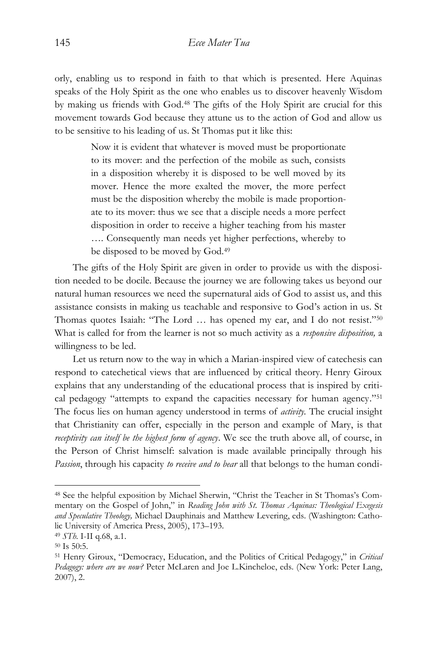orly, enabling us to respond in faith to that which is presented. Here Aquinas speaks of the Holy Spirit as the one who enables us to discover heavenly Wisdom by making us friends with God.<sup>48</sup> The gifts of the Holy Spirit are crucial for this movement towards God because they attune us to the action of God and allow us to be sensitive to his leading of us. St Thomas put it like this:

> Now it is evident that whatever is moved must be proportionate to its mover: and the perfection of the mobile as such, consists in a disposition whereby it is disposed to be well moved by its mover. Hence the more exalted the mover, the more perfect must be the disposition whereby the mobile is made proportionate to its mover: thus we see that a disciple needs a more perfect disposition in order to receive a higher teaching from his master …. Consequently man needs yet higher perfections, whereby to be disposed to be moved by God.<sup>49</sup>

The gifts of the Holy Spirit are given in order to provide us with the disposition needed to be docile. Because the journey we are following takes us beyond our natural human resources we need the supernatural aids of God to assist us, and this assistance consists in making us teachable and responsive to God's action in us. St Thomas quotes Isaiah: "The Lord … has opened my ear, and I do not resist."<sup>50</sup> What is called for from the learner is not so much activity as a *responsive disposition,* a willingness to be led.

Let us return now to the way in which a Marian-inspired view of catechesis can respond to catechetical views that are influenced by critical theory. Henry Giroux explains that any understanding of the educational process that is inspired by critical pedagogy "attempts to expand the capacities necessary for human agency."<sup>51</sup> The focus lies on human agency understood in terms of *activity.* The crucial insight that Christianity can offer, especially in the person and example of Mary, is that *receptivity can itself be the highest form of agency*. We see the truth above all, of course, in the Person of Christ himself: salvation is made available principally through his *Passion*, through his capacity *to receive and to bear* all that belongs to the human condi-

<sup>48</sup> See the helpful exposition by Michael Sherwin, "Christ the Teacher in St Thomas's Commentary on the Gospel of John," in *Reading John with St. Thomas Aquinas: Theological Exegesis and Speculative Theology,* Michael Dauphinais and Matthew Levering, eds. (Washington: Catholic University of America Press, 2005), 173–193.

<sup>49</sup> *STh.* I-II q.68, a.1.

<sup>50</sup> Is 50:5.

<sup>51</sup> Henry Giroux, "Democracy, Education, and the Politics of Critical Pedagogy," in *Critical Pedagogy: where are we now?* Peter McLaren and Joe L.Kincheloe, eds. (New York: Peter Lang, 2007), 2.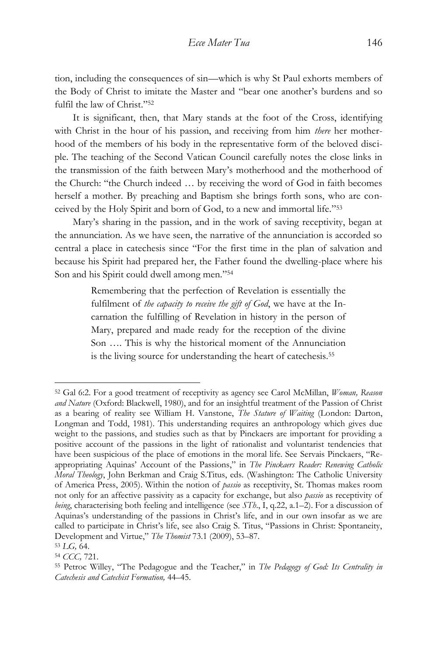tion, including the consequences of sin—which is why St Paul exhorts members of the Body of Christ to imitate the Master and "bear one another's burdens and so fulfil the law of Christ."<sup>52</sup>

It is significant, then, that Mary stands at the foot of the Cross, identifying with Christ in the hour of his passion, and receiving from him *there* her motherhood of the members of his body in the representative form of the beloved disciple. The teaching of the Second Vatican Council carefully notes the close links in the transmission of the faith between Mary's motherhood and the motherhood of the Church: "the Church indeed … by receiving the word of God in faith becomes herself a mother. By preaching and Baptism she brings forth sons, who are conceived by the Holy Spirit and born of God, to a new and immortal life." 53

Mary's sharing in the passion, and in the work of saving receptivity, began at the annunciation. As we have seen, the narrative of the annunciation is accorded so central a place in catechesis since "For the first time in the plan of salvation and because his Spirit had prepared her, the Father found the dwelling-place where his Son and his Spirit could dwell among men." 54

> Remembering that the perfection of Revelation is essentially the fulfilment of *the capacity to receive the gift of God*, we have at the Incarnation the fulfilling of Revelation in history in the person of Mary, prepared and made ready for the reception of the divine Son …. This is why the historical moment of the Annunciation is the living source for understanding the heart of catechesis.<sup>55</sup>

<sup>52</sup> Gal 6:2. For a good treatment of receptivity as agency see Carol McMillan, *Woman, Reason and Nature* (Oxford: Blackwell, 1980), and for an insightful treatment of the Passion of Christ as a bearing of reality see William H. Vanstone, *The Stature of Waiting* (London: Darton, Longman and Todd, 1981). This understanding requires an anthropology which gives due weight to the passions, and studies such as that by Pinckaers are important for providing a positive account of the passions in the light of rationalist and voluntarist tendencies that have been suspicious of the place of emotions in the moral life. See Servais Pinckaers, "Reappropriating Aquinas' Account of the Passions," in *The Pinckaers Reader: Renewing Catholic Moral Theology*, John Berkman and Craig S.Titus, eds. (Washington: The Catholic University of America Press, 2005). Within the notion of *passio* as receptivity, St. Thomas makes room not only for an affective passivity as a capacity for exchange, but also *passio* as receptivity of *being*, characterising both feeling and intelligence (see *STh*., I, q.22, a.1–2). For a discussion of Aquinas's understanding of the passions in Christ's life, and in our own insofar as we are called to participate in Christ's life, see also Craig S. Titus, "Passions in Christ: Spontaneity, Development and Virtue," *The Thomist* 73.1 (2009), 53–87.

<sup>53</sup> *LG,* 64.

<sup>54</sup> *CCC,* 721.

<sup>55</sup> Petroc Willey, "The Pedagogue and the Teacher," in *The Pedagogy of God: Its Centrality in Catechesis and Catechist Formation,* 44–45.